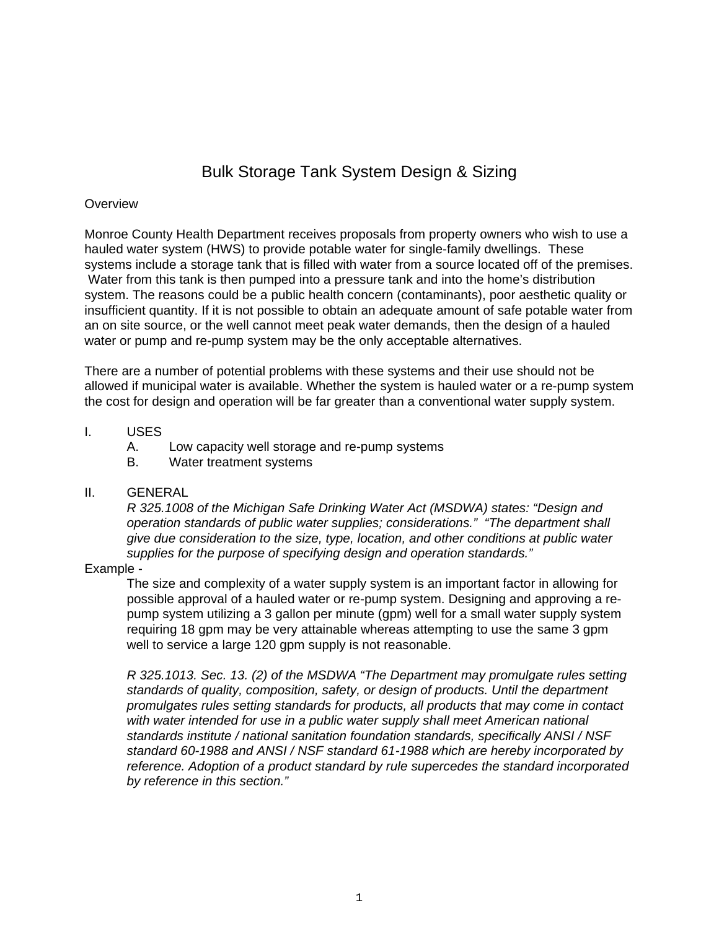# Bulk Storage Tank System Design & Sizing

## **Overview**

Monroe County Health Department receives proposals from property owners who wish to use a hauled water system (HWS) to provide potable water for single-family dwellings. These systems include a storage tank that is filled with water from a source located off of the premises. Water from this tank is then pumped into a pressure tank and into the home's distribution system. The reasons could be a public health concern (contaminants), poor aesthetic quality or insufficient quantity. If it is not possible to obtain an adequate amount of safe potable water from an on site source, or the well cannot meet peak water demands, then the design of a hauled water or pump and re-pump system may be the only acceptable alternatives.

There are a number of potential problems with these systems and their use should not be allowed if municipal water is available. Whether the system is hauled water or a re-pump system the cost for design and operation will be far greater than a conventional water supply system.

## I. USES

- A. Low capacity well storage and re-pump systems
- B. Water treatment systems

## II. GENERAL

*R 325.1008 of the Michigan Safe Drinking Water Act (MSDWA) states: "Design and operation standards of public water supplies; considerations." "The department shall give due consideration to the size, type, location, and other conditions at public water supplies for the purpose of specifying design and operation standards."*

## Example -

The size and complexity of a water supply system is an important factor in allowing for possible approval of a hauled water or re-pump system. Designing and approving a repump system utilizing a 3 gallon per minute (gpm) well for a small water supply system requiring 18 gpm may be very attainable whereas attempting to use the same 3 gpm well to service a large 120 gpm supply is not reasonable.

*R 325.1013. Sec. 13. (2) of the MSDWA "The Department may promulgate rules setting standards of quality, composition, safety, or design of products. Until the department promulgates rules setting standards for products, all products that may come in contact*  with water intended for use in a public water supply shall meet American national *standards institute / national sanitation foundation standards, specifically ANSI / NSF standard 60-1988 and ANSI / NSF standard 61-1988 which are hereby incorporated by reference. Adoption of a product standard by rule supercedes the standard incorporated by reference in this section."*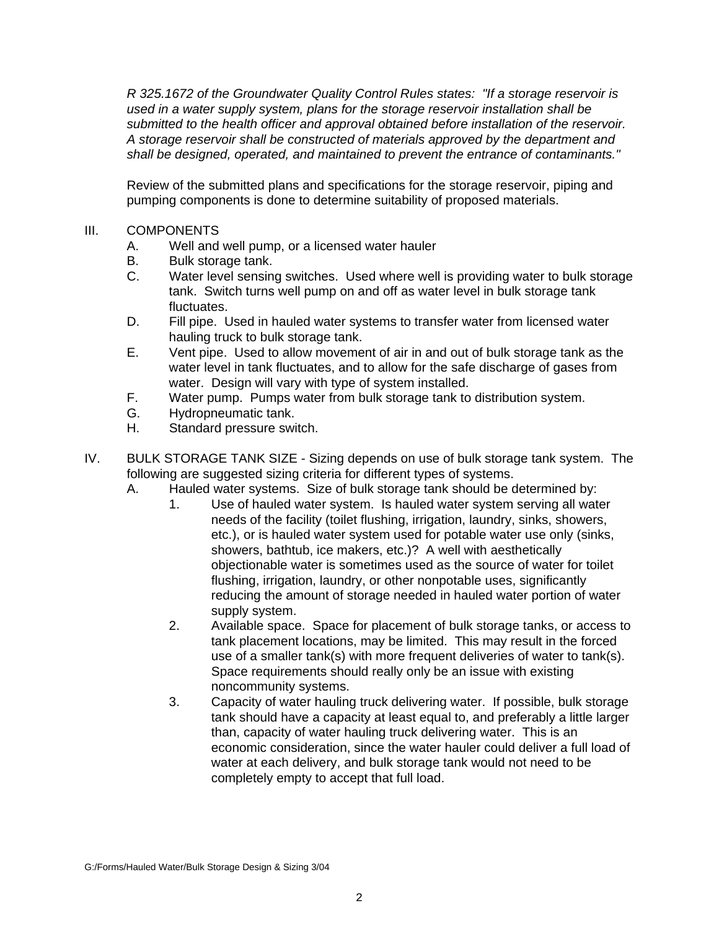*R 325.1672 of the Groundwater Quality Control Rules states: "If a storage reservoir is used in a water supply system, plans for the storage reservoir installation shall be submitted to the health officer and approval obtained before installation of the reservoir. A storage reservoir shall be constructed of materials approved by the department and shall be designed, operated, and maintained to prevent the entrance of contaminants."* 

Review of the submitted plans and specifications for the storage reservoir, piping and pumping components is done to determine suitability of proposed materials.

## III. COMPONENTS

- A. Well and well pump, or a licensed water hauler
- B. Bulk storage tank.
- C. Water level sensing switches. Used where well is providing water to bulk storage tank. Switch turns well pump on and off as water level in bulk storage tank fluctuates.
- D. Fill pipe. Used in hauled water systems to transfer water from licensed water hauling truck to bulk storage tank.
- E. Vent pipe. Used to allow movement of air in and out of bulk storage tank as the water level in tank fluctuates, and to allow for the safe discharge of gases from water. Design will vary with type of system installed.
- F. Water pump. Pumps water from bulk storage tank to distribution system.
- G. Hydropneumatic tank.
- H. Standard pressure switch.
- IV. BULK STORAGE TANK SIZE Sizing depends on use of bulk storage tank system. The following are suggested sizing criteria for different types of systems.
	- A. Hauled water systems. Size of bulk storage tank should be determined by:
		- 1. Use of hauled water system. Is hauled water system serving all water needs of the facility (toilet flushing, irrigation, laundry, sinks, showers, etc.), or is hauled water system used for potable water use only (sinks, showers, bathtub, ice makers, etc.)? A well with aesthetically objectionable water is sometimes used as the source of water for toilet flushing, irrigation, laundry, or other nonpotable uses, significantly reducing the amount of storage needed in hauled water portion of water supply system.
		- 2. Available space. Space for placement of bulk storage tanks, or access to tank placement locations, may be limited. This may result in the forced use of a smaller tank(s) with more frequent deliveries of water to tank(s). Space requirements should really only be an issue with existing noncommunity systems.
		- 3. Capacity of water hauling truck delivering water. If possible, bulk storage tank should have a capacity at least equal to, and preferably a little larger than, capacity of water hauling truck delivering water. This is an economic consideration, since the water hauler could deliver a full load of water at each delivery, and bulk storage tank would not need to be completely empty to accept that full load.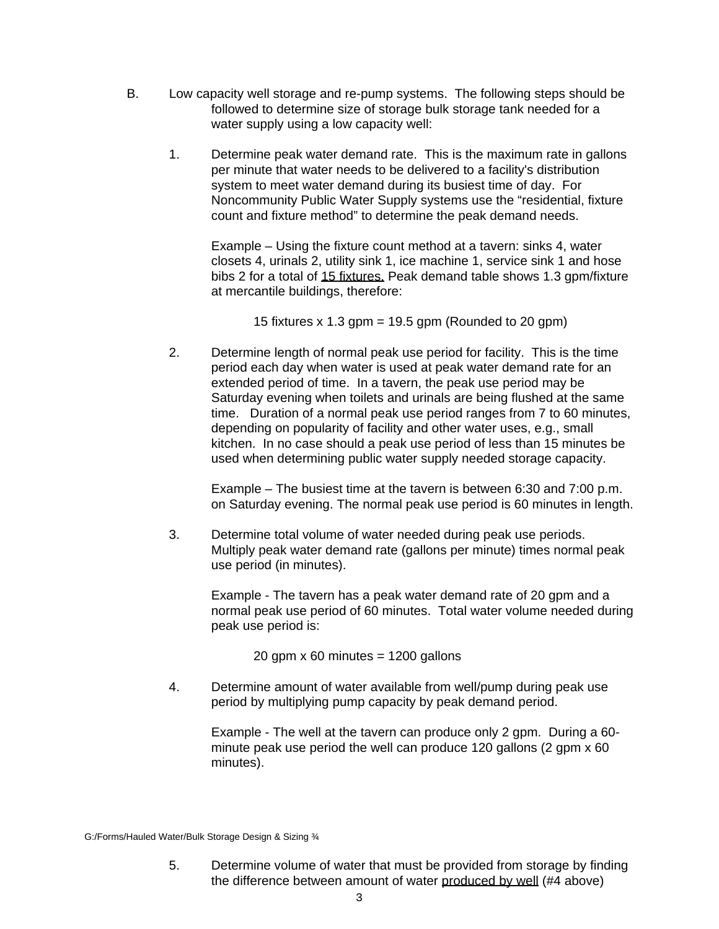- B. Low capacity well storage and re-pump systems. The following steps should be followed to determine size of storage bulk storage tank needed for a water supply using a low capacity well:
	- 1. Determine peak water demand rate. This is the maximum rate in gallons per minute that water needs to be delivered to a facility's distribution system to meet water demand during its busiest time of day. For Noncommunity Public Water Supply systems use the "residential, fixture count and fixture method" to determine the peak demand needs.

Example – Using the fixture count method at a tavern: sinks 4, water closets 4, urinals 2, utility sink 1, ice machine 1, service sink 1 and hose bibs 2 for a total of 15 fixtures. Peak demand table shows 1.3 gpm/fixture at mercantile buildings, therefore:

15 fixtures  $x$  1.3 gpm = 19.5 gpm (Rounded to 20 gpm)

2. Determine length of normal peak use period for facility. This is the time period each day when water is used at peak water demand rate for an extended period of time. In a tavern, the peak use period may be Saturday evening when toilets and urinals are being flushed at the same time. Duration of a normal peak use period ranges from 7 to 60 minutes, depending on popularity of facility and other water uses, e.g., small kitchen. In no case should a peak use period of less than 15 minutes be used when determining public water supply needed storage capacity.

Example – The busiest time at the tavern is between 6:30 and 7:00 p.m. on Saturday evening. The normal peak use period is 60 minutes in length.

3. Determine total volume of water needed during peak use periods. Multiply peak water demand rate (gallons per minute) times normal peak use period (in minutes).

Example - The tavern has a peak water demand rate of 20 gpm and a normal peak use period of 60 minutes. Total water volume needed during peak use period is:

20 gpm  $\times$  60 minutes = 1200 gallons

4. Determine amount of water available from well/pump during peak use period by multiplying pump capacity by peak demand period.

Example - The well at the tavern can produce only 2 gpm. During a 60 minute peak use period the well can produce 120 gallons (2 gpm x 60 minutes).

G:/Forms/Hauled Water/Bulk Storage Design & Sizing ¾

5. Determine volume of water that must be provided from storage by finding the difference between amount of water produced by well (#4 above)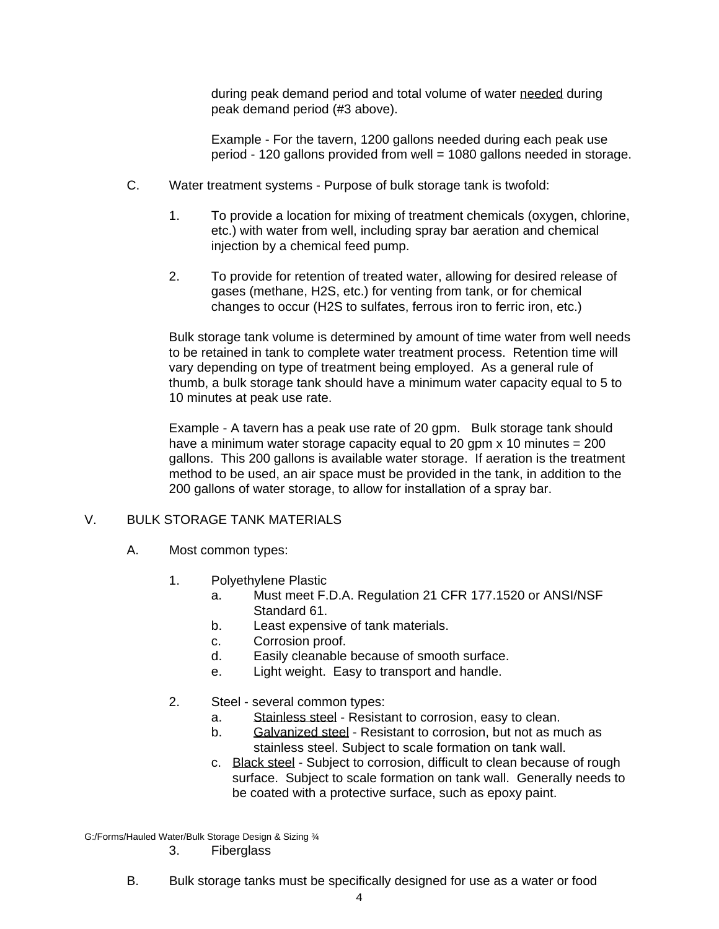during peak demand period and total volume of water needed during peak demand period (#3 above).

Example - For the tavern, 1200 gallons needed during each peak use period - 120 gallons provided from well = 1080 gallons needed in storage.

- C. Water treatment systems Purpose of bulk storage tank is twofold:
	- 1. To provide a location for mixing of treatment chemicals (oxygen, chlorine, etc.) with water from well, including spray bar aeration and chemical injection by a chemical feed pump.
	- 2. To provide for retention of treated water, allowing for desired release of gases (methane, H2S, etc.) for venting from tank, or for chemical changes to occur (H2S to sulfates, ferrous iron to ferric iron, etc.)

Bulk storage tank volume is determined by amount of time water from well needs to be retained in tank to complete water treatment process. Retention time will vary depending on type of treatment being employed. As a general rule of thumb, a bulk storage tank should have a minimum water capacity equal to 5 to 10 minutes at peak use rate.

Example - A tavern has a peak use rate of 20 gpm. Bulk storage tank should have a minimum water storage capacity equal to 20 gpm  $x$  10 minutes = 200 gallons. This 200 gallons is available water storage. If aeration is the treatment method to be used, an air space must be provided in the tank, in addition to the 200 gallons of water storage, to allow for installation of a spray bar.

# V. BULK STORAGE TANK MATERIALS

- A. Most common types:
	- 1. Polyethylene Plastic
		- a. Must meet F.D.A. Regulation 21 CFR 177.1520 or ANSI/NSF Standard 61.
		- b. Least expensive of tank materials.
		- c. Corrosion proof.
		- d. Easily cleanable because of smooth surface.
		- e. Light weight. Easy to transport and handle.
	- 2. Steel several common types:
		- a. Stainless steel Resistant to corrosion, easy to clean.
		- b. Galvanized steel Resistant to corrosion, but not as much as stainless steel. Subject to scale formation on tank wall.
		- c. Black steel Subject to corrosion, difficult to clean because of rough surface. Subject to scale formation on tank wall. Generally needs to be coated with a protective surface, such as epoxy paint.

G:/Forms/Hauled Water/Bulk Storage Design & Sizing ¾

3. Fiberglass

B. Bulk storage tanks must be specifically designed for use as a water or food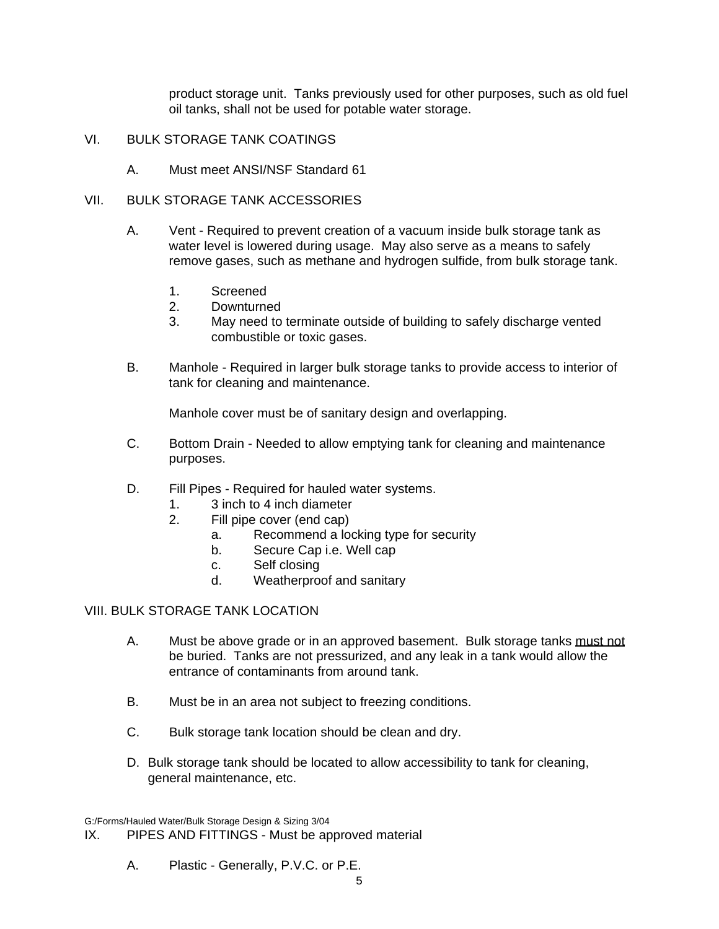product storage unit. Tanks previously used for other purposes, such as old fuel oil tanks, shall not be used for potable water storage.

- VI. BULK STORAGE TANK COATINGS
	- A. Must meet ANSI/NSF Standard 61

## VII. BULK STORAGE TANK ACCESSORIES

- A. Vent Required to prevent creation of a vacuum inside bulk storage tank as water level is lowered during usage. May also serve as a means to safely remove gases, such as methane and hydrogen sulfide, from bulk storage tank.
	- 1. Screened
	- 2. Downturned
	- 3. May need to terminate outside of building to safely discharge vented combustible or toxic gases.
- B. Manhole Required in larger bulk storage tanks to provide access to interior of tank for cleaning and maintenance.

Manhole cover must be of sanitary design and overlapping.

- C. Bottom Drain Needed to allow emptying tank for cleaning and maintenance purposes.
- D. Fill Pipes Required for hauled water systems.
	- 1. 3 inch to 4 inch diameter
	- 2. Fill pipe cover (end cap)
		- a. Recommend a locking type for security
		- b. Secure Cap i.e. Well cap
		- c. Self closing
		- d. Weatherproof and sanitary

## VIII. BULK STORAGE TANK LOCATION.

- A. Must be above grade or in an approved basement. Bulk storage tanks must not be buried. Tanks are not pressurized, and any leak in a tank would allow the entrance of contaminants from around tank.
- B. Must be in an area not subject to freezing conditions.
- C. Bulk storage tank location should be clean and dry.
- D. Bulk storage tank should be located to allow accessibility to tank for cleaning, general maintenance, etc.

G:/Forms/Hauled Water/Bulk Storage Design & Sizing 3/04

IX. PIPES AND FITTINGS - Must be approved material

A. Plastic - Generally, P.V.C. or P.E.